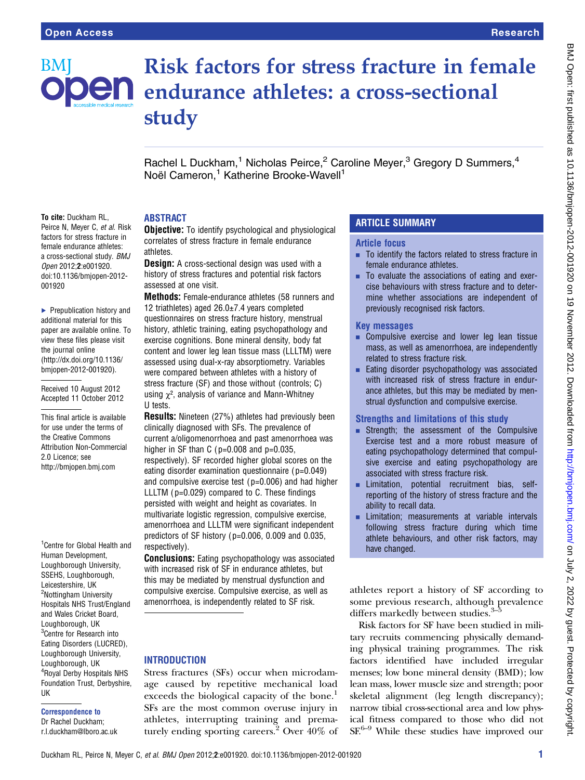# **BM**

To cite: Duckham RL, Peirce N, Meyer C, et al. Risk factors for stress fracture in female endurance athletes: a cross-sectional study. BMJ Open 2012;2:e001920. doi:10.1136/bmjopen-2012-

▶ Prepublication history and additional material for this paper are available online. To view these files please visit the journal online [\(http://dx.doi.org/10.1136/](http://dx.doi.org/10.1136/bmjopen-2012-001920) [bmjopen-2012-001920](http://dx.doi.org/10.1136/bmjopen-2012-001920)). Received 10 August 2012 Accepted 11 October 2012

This final article is available for use under the terms of the Creative Commons Attribution Non-Commercial

<sup>1</sup> Centre for Global Health and Human Development, Loughborough University, SSEHS, Loughborough, Leicestershire, UK <sup>2</sup>Nottingham University Hospitals NHS Trust/England and Wales Cricket Board, Loughborough, UK <sup>3</sup>Centre for Research into Eating Disorders (LUCRED), Loughborough University, Loughborough, UK 4 Royal Derby Hospitals NHS Foundation Trust, Derbyshire,

2.0 Licence; see <http://bmjopen.bmj.com>

UK

Correspondence to Dr Rachel Duckham; r.l.duckham@lboro.ac.uk

001920

# Risk factors for stress fracture in female  $\mathsf{D}\mathsf{e}\mathsf{n}$  endurance athletes: a cross-sectional study

Rachel L Duckham,<sup>1</sup> Nicholas Peirce,<sup>2</sup> Caroline Meyer,<sup>3</sup> Gregory D Summers,<sup>4</sup> Noël Cameron,<sup>1</sup> Katherine Brooke-Wavell<sup>1</sup>

## **ABSTRACT**

**Objective:** To identify psychological and physiological correlates of stress fracture in female endurance athletes.

**Design:** A cross-sectional design was used with a history of stress fractures and potential risk factors assessed at one visit.

Methods: Female-endurance athletes (58 runners and 12 triathletes) aged 26.0±7.4 years completed questionnaires on stress fracture history, menstrual history, athletic training, eating psychopathology and exercise cognitions. Bone mineral density, body fat content and lower leg lean tissue mass (LLLTM) were assessed using dual-x-ray absorptiometry. Variables were compared between athletes with a history of stress fracture (SF) and those without (controls; C) using  $\chi^2$ , analysis of variance and Mann-Whitney U tests.

Results: Nineteen (27%) athletes had previously been clinically diagnosed with SFs. The prevalence of current a/oligomenorrhoea and past amenorrhoea was higher in SF than C ( $p=0.008$  and  $p=0.035$ , respectively). SF recorded higher global scores on the eating disorder examination questionnaire ( p=0.049) and compulsive exercise test ( $p=0.006$ ) and had higher LLLTM ( p=0.029) compared to C. These findings persisted with weight and height as covariates. In multivariate logistic regression, compulsive exercise, amenorrhoea and LLLTM were significant independent predictors of SF history ( $p=0.006$ , 0.009 and 0.035, respectively).

**Conclusions:** Eating psychopathology was associated with increased risk of SF in endurance athletes, but this may be mediated by menstrual dysfunction and compulsive exercise. Compulsive exercise, as well as amenorrhoea, is independently related to SF risk.

# **INTRODUCTION**

Stress fractures (SFs) occur when microdamage caused by repetitive mechanical load exceeds the biological capacity of the bone.<sup>1</sup> SFs are the most common overuse injury in athletes, interrupting training and prematurely ending sporting careers.<sup>2</sup> Over  $40\%$  of

# ARTICLE SUMMARY

#### Article focus

- To identify the factors related to stress fracture in female endurance athletes.
- To evaluate the associations of eating and exercise behaviours with stress fracture and to determine whether associations are independent of previously recognised risk factors.

#### Key messages

- Compulsive exercise and lower leg lean tissue mass, as well as amenorrhoea, are independently related to stress fracture risk.
- $\blacksquare$  Eating disorder psychopathology was associated with increased risk of stress fracture in endurance athletes, but this may be mediated by menstrual dysfunction and compulsive exercise.

#### Strengths and limitations of this study

- **Example 1** Strength; the assessment of the Compulsive Exercise test and a more robust measure of eating psychopathology determined that compulsive exercise and eating psychopathology are associated with stress fracture risk.
- **EXECUTE:** Limitation, potential recruitment bias, selfreporting of the history of stress fracture and the ability to recall data.
- **EXECUTE:** Limitation; measurements at variable intervals following stress fracture during which time athlete behaviours, and other risk factors, may have changed.

athletes report a history of SF according to some previous research, although prevalence differs markedly between studies.<sup>3</sup>

Risk factors for SF have been studied in military recruits commencing physically demanding physical training programmes. The risk factors identified have included irregular menses; low bone mineral density (BMD); low lean mass, lower muscle size and strength; poor skeletal alignment (leg length discrepancy); narrow tibial cross-sectional area and low physical fitness compared to those who did not SF.<sup>6–9</sup> While these studies have improved our

#### Duckham RL, Peirce N, Meyer C, et al. BMJ Open 2012;2:e001920. doi:10.1136/bmjopen-2012-001920 1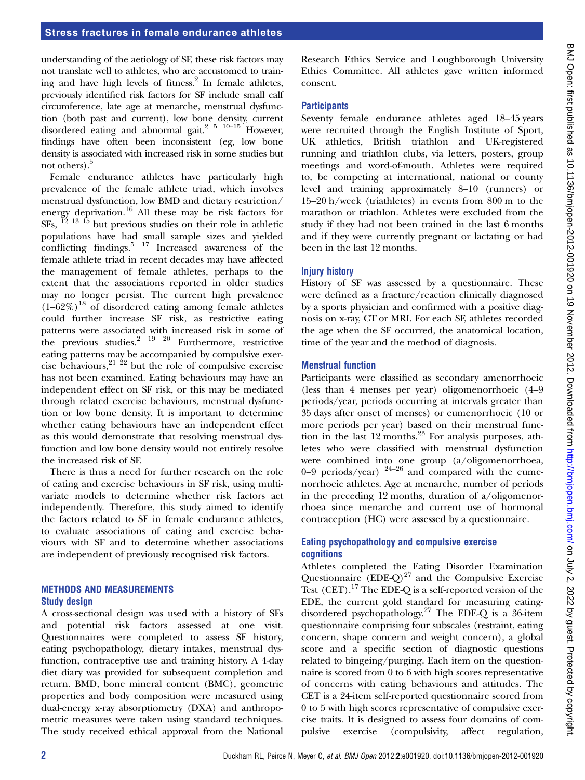# Stress fractures in female endurance athletes

understanding of the aetiology of SF, these risk factors may not translate well to athletes, who are accustomed to training and have high levels of fitness.<sup>2</sup> In female athletes, previously identified risk factors for SF include small calf circumference, late age at menarche, menstrual dysfunction (both past and current), low bone density, current disordered eating and abnormal gait.<sup>2</sup>  $5 \times 10^{-15}$  However, findings have often been inconsistent (eg, low bone density is associated with increased risk in some studies but not others).<sup>5</sup>

Female endurance athletes have particularly high prevalence of the female athlete triad, which involves menstrual dysfunction, low BMD and dietary restriction/ energy deprivation.<sup>16</sup> All these may be risk factors for  $SFs$ ,  $^{12}$   $^{13}$   $^{15}$  but previous studies on their role in athletic populations have had small sample sizes and yielded conflicting findings. $5 \frac{17}{7}$  Increased awareness of the female athlete triad in recent decades may have affected the management of female athletes, perhaps to the extent that the associations reported in older studies may no longer persist. The current high prevalence  $(1-62\%)$ <sup>18</sup> of disordered eating among female athletes could further increase SF risk, as restrictive eating patterns were associated with increased risk in some of the previous studies.<sup>2</sup> <sup>19</sup> <sup>20</sup> Furthermore, restrictive eating patterns may be accompanied by compulsive exercise behaviours,  $2^{1/22}$  but the role of compulsive exercise has not been examined. Eating behaviours may have an independent effect on SF risk, or this may be mediated through related exercise behaviours, menstrual dysfunction or low bone density. It is important to determine whether eating behaviours have an independent effect as this would demonstrate that resolving menstrual dysfunction and low bone density would not entirely resolve the increased risk of SF.

There is thus a need for further research on the role of eating and exercise behaviours in SF risk, using multivariate models to determine whether risk factors act independently. Therefore, this study aimed to identify the factors related to SF in female endurance athletes, to evaluate associations of eating and exercise behaviours with SF and to determine whether associations are independent of previously recognised risk factors.

#### METHODS AND MEASUREMENTS Study design

A cross-sectional design was used with a history of SFs and potential risk factors assessed at one visit. Questionnaires were completed to assess SF history, eating psychopathology, dietary intakes, menstrual dysfunction, contraceptive use and training history. A 4-day diet diary was provided for subsequent completion and return. BMD, bone mineral content (BMC), geometric properties and body composition were measured using dual-energy x-ray absorptiometry (DXA) and anthropometric measures were taken using standard techniques. The study received ethical approval from the National Research Ethics Service and Loughborough University Ethics Committee. All athletes gave written informed consent.

#### **Participants**

Seventy female endurance athletes aged 18–45 years were recruited through the English Institute of Sport, UK athletics, British triathlon and UK-registered running and triathlon clubs, via letters, posters, group meetings and word-of-mouth. Athletes were required to, be competing at international, national or county level and training approximately 8–10 (runners) or 15–20 h/week (triathletes) in events from 800 m to the marathon or triathlon. Athletes were excluded from the study if they had not been trained in the last 6 months and if they were currently pregnant or lactating or had been in the last 12 months.

#### Injury history

History of SF was assessed by a questionnaire. These were defined as a fracture/reaction clinically diagnosed by a sports physician and confirmed with a positive diagnosis on x-ray, CT or MRI. For each SF, athletes recorded the age when the SF occurred, the anatomical location, time of the year and the method of diagnosis.

#### Menstrual function

Participants were classified as secondary amenorrhoeic (less than 4 menses per year) oligomenorrhoeic (4–9 periods/year, periods occurring at intervals greater than 35 days after onset of menses) or eumenorrhoeic (10 or more periods per year) based on their menstrual function in the last  $12$  months.<sup>23</sup> For analysis purposes, athletes who were classified with menstrual dysfunction were combined into one group (a/oligomenorrhoea, 0–9 periods/year)  $24-26$  and compared with the eumenorrhoeic athletes. Age at menarche, number of periods in the preceding 12 months, duration of  $a$ /oligomenorrhoea since menarche and current use of hormonal contraception (HC) were assessed by a questionnaire.

#### Eating psychopathology and compulsive exercise cognitions

Athletes completed the Eating Disorder Examination Questionnaire  $(DE-Q)^{27}$  and the Compulsive Exercise Test (CET).<sup>17</sup> The EDE-Q is a self-reported version of the EDE, the current gold standard for measuring eatingdisordered psychopathology.27 The EDE-Q is a 36-item questionnaire comprising four subscales (restraint, eating concern, shape concern and weight concern), a global score and a specific section of diagnostic questions related to bingeing/purging. Each item on the questionnaire is scored from 0 to 6 with high scores representative of concerns with eating behaviours and attitudes. The CET is a 24-item self-reported questionnaire scored from 0 to 5 with high scores representative of compulsive exercise traits. It is designed to assess four domains of compulsive exercise (compulsivity, affect regulation,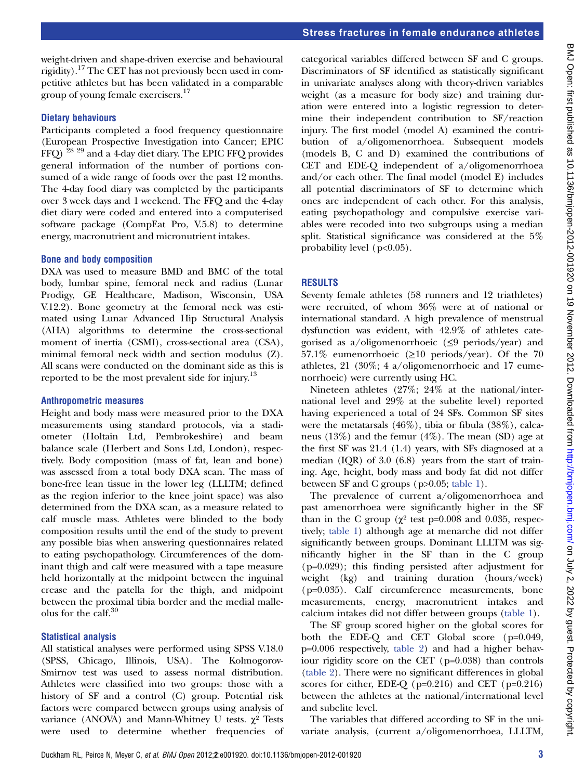#### Stress fractures in female endurance athletes

weight-driven and shape-driven exercise and behavioural rigidity).<sup>17</sup> The CET has not previously been used in competitive athletes but has been validated in a comparable group of young female exercisers.<sup>17</sup>

#### Dietary behaviours

Participants completed a food frequency questionnaire (European Prospective Investigation into Cancer; EPIC FFQ) 28 29 and a 4-day diet diary. The EPIC FFQ provides general information of the number of portions consumed of a wide range of foods over the past 12 months. The 4-day food diary was completed by the participants over 3 week days and 1 weekend. The FFQ and the 4-day diet diary were coded and entered into a computerised software package (CompEat Pro, V.5.8) to determine energy, macronutrient and micronutrient intakes.

#### Bone and body composition

DXA was used to measure BMD and BMC of the total body, lumbar spine, femoral neck and radius (Lunar Prodigy, GE Healthcare, Madison, Wisconsin, USA V.12.2). Bone geometry at the femoral neck was estimated using Lunar Advanced Hip Structural Analysis (AHA) algorithms to determine the cross-sectional moment of inertia (CSMI), cross-sectional area (CSA), minimal femoral neck width and section modulus (Z). All scans were conducted on the dominant side as this is reported to be the most prevalent side for injury.<sup>13</sup>

#### Anthropometric measures

Height and body mass were measured prior to the DXA measurements using standard protocols, via a stadiometer (Holtain Ltd, Pembrokeshire) and beam balance scale (Herbert and Sons Ltd, London), respectively. Body composition (mass of fat, lean and bone) was assessed from a total body DXA scan. The mass of bone-free lean tissue in the lower leg (LLLTM; defined as the region inferior to the knee joint space) was also determined from the DXA scan, as a measure related to calf muscle mass. Athletes were blinded to the body composition results until the end of the study to prevent any possible bias when answering questionnaires related to eating psychopathology. Circumferences of the dominant thigh and calf were measured with a tape measure held horizontally at the midpoint between the inguinal crease and the patella for the thigh, and midpoint between the proximal tibia border and the medial malleolus for the calf.<sup>30</sup>

#### Statistical analysis

All statistical analyses were performed using SPSS V.18.0 (SPSS, Chicago, Illinois, USA). The Kolmogorov-Smirnov test was used to assess normal distribution. Athletes were classified into two groups: those with a history of SF and a control (C) group. Potential risk factors were compared between groups using analysis of variance (ANOVA) and Mann-Whitney U tests.  $χ²$  Tests were used to determine whether frequencies of

categorical variables differed between SF and C groups. Discriminators of SF identified as statistically significant in univariate analyses along with theory-driven variables weight (as a measure for body size) and training duration were entered into a logistic regression to determine their independent contribution to SF/reaction injury. The first model (model A) examined the contribution of a/oligomenorrhoea. Subsequent models (models B, C and D) examined the contributions of CET and EDE-Q independent of a/oligomenorrhoea and/or each other. The final model (model E) includes all potential discriminators of SF to determine which ones are independent of each other. For this analysis, eating psychopathology and compulsive exercise variables were recoded into two subgroups using a median split. Statistical significance was considered at the 5% probability level  $(p<0.05)$ .

#### RESULTS

Seventy female athletes (58 runners and 12 triathletes) were recruited, of whom 36% were at of national or international standard. A high prevalence of menstrual dysfunction was evident, with 42.9% of athletes categorised as a/oligomenorrhoeic ( $\leq$ 9 periods/year) and 57.1% eumenorrhoeic ( $\geq$ 10 periods/year). Of the 70 athletes, 21 (30%; 4 a/oligomenorrhoeic and 17 eumenorrhoeic) were currently using HC.

Nineteen athletes (27%; 24% at the national/international level and 29% at the subelite level) reported having experienced a total of 24 SFs. Common SF sites were the metatarsals (46%), tibia or fibula (38%), calcaneus (13%) and the femur (4%). The mean (SD) age at the first SF was 21.4 (1.4) years, with SFs diagnosed at a median (IQR) of 3.0 (6.8) years from the start of training. Age, height, body mass and body fat did not differ between SF and C groups (p>0.05; table 1).

The prevalence of current a/oligomenorrhoea and past amenorrhoea were significantly higher in the SF than in the C group ( $\chi^2$  test p=0.008 and 0.035, respectively; table 1) although age at menarche did not differ significantly between groups. Dominant LLLTM was significantly higher in the SF than in the C group (p=0.029); this finding persisted after adjustment for weight (kg) and training duration (hours/week) (p=0.035). Calf circumference measurements, bone measurements, energy, macronutrient intakes and calcium intakes did not differ between groups (table 1).

The SF group scored higher on the global scores for both the EDE-Q and CET Global score (p=0.049, p=0.006 respectively, table 2) and had a higher behaviour rigidity score on the CET (p=0.038) than controls (table 2). There were no significant differences in global scores for either, EDE-Q (p=0.216) and CET (p=0.216) between the athletes at the national/international level and subelite level.

The variables that differed according to SF in the univariate analysis, (current a/oligomenorrhoea, LLLTM,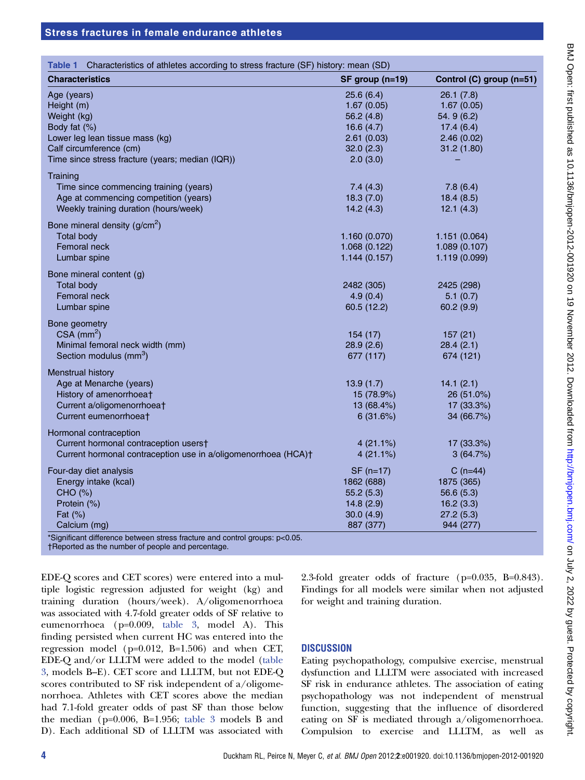| Characteristics of athletes according to stress fracture (SF) history: mean (SD)<br><b>Characteristics</b> | SF group (n=19) | Control (C) group (n=51) |
|------------------------------------------------------------------------------------------------------------|-----------------|--------------------------|
|                                                                                                            |                 |                          |
| Age (years)                                                                                                | 25.6(6.4)       | 26.1(7.8)                |
| Height (m)                                                                                                 | 1.67(0.05)      | 1.67(0.05)               |
| Weight (kg)                                                                                                | 56.2(4.8)       | 54.9(6.2)                |
| Body fat (%)                                                                                               | 16.6(4.7)       | 17.4(6.4)                |
| Lower leg lean tissue mass (kg)                                                                            | 2.61(0.03)      | 2.46(0.02)               |
| Calf circumference (cm)                                                                                    | 32.0(2.3)       | 31.2(1.80)               |
| Time since stress fracture (years; median (IQR))                                                           | 2.0(3.0)        |                          |
| Training                                                                                                   |                 |                          |
| Time since commencing training (years)                                                                     | 7.4(4.3)        | 7.8(6.4)                 |
| Age at commencing competition (years)                                                                      | 18.3(7.0)       | 18.4(8.5)                |
| Weekly training duration (hours/week)                                                                      | 14.2(4.3)       | 12.1(4.3)                |
| Bone mineral density $(g/cm2)$                                                                             |                 |                          |
| <b>Total body</b>                                                                                          | 1.160(0.070)    | 1.151(0.064)             |
| Femoral neck                                                                                               | 1.068(0.122)    | 1.089(0.107)             |
| Lumbar spine                                                                                               | 1.144(0.157)    | 1.119 (0.099)            |
| Bone mineral content (g)                                                                                   |                 |                          |
| <b>Total body</b>                                                                                          | 2482 (305)      | 2425 (298)               |
| Femoral neck                                                                                               | 4.9(0.4)        | 5.1(0.7)                 |
| Lumbar spine                                                                                               | 60.5 (12.2)     | 60.2(9.9)                |
|                                                                                                            |                 |                          |
| Bone geometry<br>$CSA$ (mm <sup>2</sup> )                                                                  | 154(17)         |                          |
| Minimal femoral neck width (mm)                                                                            | 28.9(2.6)       | 157(21)<br>28.4(2.1)     |
| Section modulus (mm <sup>3</sup> )                                                                         | 677 (117)       | 674 (121)                |
|                                                                                                            |                 |                          |
| Menstrual history                                                                                          |                 |                          |
| Age at Menarche (years)                                                                                    | 13.9(1.7)       | 14.1(2.1)                |
| History of amenorrhoeat                                                                                    | 15 (78.9%)      | 26 (51.0%)               |
| Current a/oligomenorrhoeat                                                                                 | 13 (68.4%)      | 17 (33.3%)               |
| Current eumenorrhoeat                                                                                      | 6(31.6%)        | 34 (66.7%)               |
| Hormonal contraception                                                                                     |                 |                          |
| Current hormonal contraception users†                                                                      | 4(21.1%)        | 17 (33.3%)               |
| Current hormonal contraception use in a/oligomenorrhoea (HCA)+                                             | 4(21.1%)        | 3(64.7%)                 |
| Four-day diet analysis                                                                                     | $SF (n=17)$     | $C(n=44)$                |
| Energy intake (kcal)                                                                                       | 1862 (688)      | 1875 (365)               |
| CHO (%)                                                                                                    | 55.2(5.3)       | 56.6(5.3)                |
| Protein (%)                                                                                                | 14.8(2.9)       | 16.2(3.3)                |
| Fat $(\%)$                                                                                                 | 30.0(4.9)       | 27.2(5.3)                |
| Calcium (mg)                                                                                               | 887 (377)       | 944 (277)                |
| *Significant difference between stress fracture and control groups: p<0.05.                                |                 |                          |

†Reported as the number of people and percentage.

EDE-Q scores and CET scores) were entered into a multiple logistic regression adjusted for weight (kg) and training duration (hours/week). A/oligomenorrhoea was associated with 4.7-fold greater odds of SF relative to eumenorrhoea (p=0.009, table 3, model A). This finding persisted when current HC was entered into the regression model (p=0.012, B=1.506) and when CET, EDE-Q and/or LLLTM were added to the model (table 3, models B–E). CET score and LLLTM, but not EDE-Q scores contributed to SF risk independent of a/oligomenorrhoea. Athletes with CET scores above the median had 7.1-fold greater odds of past SF than those below the median (p=0.006, B=1.956; table 3 models B and D). Each additional SD of LLLTM was associated with 2.3-fold greater odds of fracture (p=0.035, B=0.843). Findings for all models were similar when not adjusted for weight and training duration.

#### **DISCUSSION**

Eating psychopathology, compulsive exercise, menstrual dysfunction and LLLTM were associated with increased SF risk in endurance athletes. The association of eating psychopathology was not independent of menstrual function, suggesting that the influence of disordered eating on SF is mediated through a/oligomenorrhoea. Compulsion to exercise and LLLTM, as well as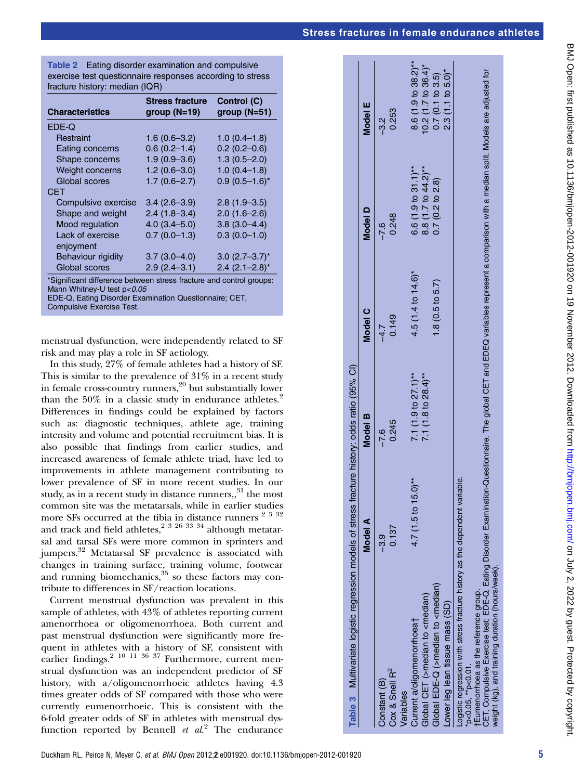# Stress fractures in female enduran

| ce                                                                                                              | athl | etes |  |
|-----------------------------------------------------------------------------------------------------------------|------|------|--|
|                                                                                                                 |      |      |  |
|                                                                                                                 |      |      |  |
|                                                                                                                 |      |      |  |
|                                                                                                                 |      |      |  |
|                                                                                                                 |      |      |  |
|                                                                                                                 |      |      |  |
|                                                                                                                 |      |      |  |
|                                                                                                                 |      |      |  |
|                                                                                                                 |      |      |  |
|                                                                                                                 |      |      |  |
|                                                                                                                 |      |      |  |
|                                                                                                                 |      |      |  |
|                                                                                                                 |      |      |  |
|                                                                                                                 |      |      |  |
|                                                                                                                 |      |      |  |
|                                                                                                                 |      |      |  |
|                                                                                                                 |      |      |  |
| ionnaire. The global CET and EDEQ variables represent a comparison with a median split. Models are adjusted for |      |      |  |
|                                                                                                                 |      |      |  |
|                                                                                                                 |      |      |  |
|                                                                                                                 |      |      |  |
|                                                                                                                 |      |      |  |
|                                                                                                                 |      |      |  |
|                                                                                                                 |      |      |  |
|                                                                                                                 |      |      |  |
|                                                                                                                 |      |      |  |
|                                                                                                                 |      |      |  |
|                                                                                                                 |      |      |  |
| veight (kg), and training duration (hours/week                                                                  |      |      |  |
| CET, Compulsive Exercise test; EDE-Q, Eating Disorder Examination-Questi                                        |      |      |  |
|                                                                                                                 |      |      |  |
|                                                                                                                 |      |      |  |
|                                                                                                                 |      |      |  |
|                                                                                                                 |      |      |  |
|                                                                                                                 |      |      |  |

BMJ Open: first published as 10.1136/bmijopen-2012-001920 on 19 November 2012. Downloaded from http://bmjopen.bmj.com/ on July 2, 2022 by guest. Protected by copyright BMJ Open: first published as 10.1136/bmjopen-2012-001920 on 19 November 2012. Downloaded from <http://bmjopen.bmj.com/> on July 2, 2022 by guest. Protected by copyright.

| <b>Table 2</b> Eating disorder examination and compulsive |  |  |
|-----------------------------------------------------------|--|--|
| exercise test questionnaire responses according to stress |  |  |
| fracture history: median (IQR)                            |  |  |

| <b>Characteristics</b>                                              | <b>Stress fracture</b><br>group $(N=19)$ | Control (C)<br>$qroup (N=51)$ |
|---------------------------------------------------------------------|------------------------------------------|-------------------------------|
| EDE-Q                                                               |                                          |                               |
| Restraint                                                           | $1.6(0.6 - 3.2)$                         | $1.0(0.4-1.8)$                |
| Eating concerns                                                     | $0.6(0.2 - 1.4)$                         | $0.2(0.2 - 0.6)$              |
| Shape concerns                                                      | $1.9(0.9 - 3.6)$                         | $1.3(0.5 - 2.0)$              |
| <b>Weight concerns</b>                                              | $1.2(0.6 - 3.0)$                         | $1.0(0.4-1.8)$                |
| Global scores                                                       | $1.7(0.6 - 2.7)$                         | $0.9(0.5-1.6)^{*}$            |
| CFT                                                                 |                                          |                               |
| Compulsive exercise                                                 | $3.4(2.6-3.9)$                           | $2.8(1.9-3.5)$                |
| Shape and weight                                                    | $2.4(1.8-3.4)$                           | $2.0(1.6-2.6)$                |
| Mood regulation                                                     | $4.0(3.4 - 5.0)$                         | $3.8(3.0-4.4)$                |
| Lack of exercise                                                    | $0.7(0.0-1.3)$                           | $0.3(0.0-1.0)$                |
| enjoyment                                                           |                                          |                               |
| <b>Behaviour rigidity</b>                                           | $3.7(3.0-4.0)$                           | $3.0$ (2.7–3.7) <sup>*</sup>  |
| Global scores                                                       | $2.9(2.4 - 3.1)$                         | $2.4$ (2.1-2.8) <sup>*</sup>  |
| *Significant difference between stress fracture and control groups: |                                          |                               |

\*Significant difference between stress fracture and control groups: Mann Whitney-U test  $p<0.05$ 

EDE-Q, Eating Disorder Examination Questionnaire; CET, Compulsive Exercise Test.

menstrual dysfunction, were independently related to SF risk and may play a role in SF aetiology.

In this study, 27% of female athletes had a history of SF. This is similar to the prevalence of 31% in a recent study in female cross-country runners,  $20$  but substantially lower than the 50% in a classic study in endurance athletes.<sup>2</sup> Differences in findings could be explained by factors such as: diagnostic techniques, athlete age, training intensity and volume and potential recruitment bias. It is also possible that findings from earlier studies, and increased awareness of female athlete triad, have led to improvements in athlete management contributing to lower prevalence of SF in more recent studies. In our study, as in a recent study in distance runners, $3<sup>1</sup>$  the most common site was the metatarsals, while in earlier studies more SFs occurred at the tibia in distance runners <sup>2 3 32</sup> and track and field athletes,<sup>2 3 26 33 34</sup> although metatarsal and tarsal SFs were more common in sprinters and jumpers.<sup>32</sup> Metatarsal SF prevalence is associated with changes in training surface, training volume, footwear and running biomechanics,  $35$  so these factors may contribute to differences in SF/reaction locations.

Current menstrual dysfunction was prevalent in this sample of athletes, with 43% of athletes reporting current amenorrhoea or oligomenorrhoea. Both current and past menstrual dysfunction were significantly more frequent in athletes with a history of SF, consistent with earlier findings.<sup>2 10 11 36 37</sup> Furthermore, current menstrual dysfunction was an independent predictor of SF history, with a/oligomenorrhoeic athletes having 4.3 times greater odds of SF compared with those who were currently eumenorrhoeic. This is consistent with the 6-fold greater odds of SF in athletes with menstrual dysfunction reported by Bennell  $et \ al.<sup>2</sup>$  The endurance

|                                                                                                                                                                                                                                 | Model A                                   | Model B                           | Model C                       | Model D                           | Model E                         |
|---------------------------------------------------------------------------------------------------------------------------------------------------------------------------------------------------------------------------------|-------------------------------------------|-----------------------------------|-------------------------------|-----------------------------------|---------------------------------|
| Cox & Snell R <sup>2</sup><br>Constant (B)                                                                                                                                                                                      | 0.137<br>-3.9                             | 0.245<br>$-7.6$                   | 0.149<br>$-4.7$               | 0.248<br>$-7.6$                   | 0.253<br>-3.2                   |
| Current a/oligomenorrhoea <sup>+</sup><br>Variables                                                                                                                                                                             | $4.7(1.5 \text{ to } 15.0)$ <sup>**</sup> | 7.1 $(1.9 \text{ to } 27.1)^{**}$ | $4.5(1.4 \text{ to } 14.6)^*$ | $6.6(1.9 to 31.1)$ **             | 8.6 (1.9 to 38.2) <sup>**</sup> |
| Global CET (>median to <median)< td=""><td></td><td>7.1 <math>(1.8 \text{ to } 28.4)</math>**</td><td></td><td>8.8 <math>(1.7 10 44.2)</math><sup>**</sup></td><td><math>0.2(1.7)</math> to 36.4)*</td></median)<>              |                                           | 7.1 $(1.8 \text{ to } 28.4)$ **   |                               | 8.8 $(1.7 10 44.2)$ <sup>**</sup> | $0.2(1.7)$ to 36.4)*            |
| Global EDE-Q (>median to <median)< td=""><td></td><td></td><td><math>1.8(0.5 \text{ to } 5.7)</math></td><td>0.7(0.2 to 2.8)</td><td>0.7(0.1 to 3.5)</td></median)<>                                                            |                                           |                                   | $1.8(0.5 \text{ to } 5.7)$    | 0.7(0.2 to 2.8)                   | 0.7(0.1 to 3.5)                 |
| Lower leg lean tissue mass (SD)                                                                                                                                                                                                 |                                           |                                   |                               |                                   | $2.3(1.1 \text{ to } 5.0)^*$    |
| Logistic regression with stress fracture history as the dependent variable.<br>*p<0.05, **p<0.01.                                                                                                                               |                                           |                                   |                               |                                   |                                 |
| CET, Compulsive Exercise test; EDE-Q, Eating Disorder Examination-Questionnaire. The global CET and EDEQ variables represent a comparison with a median split. Models are adjusted for<br>tEumenorrhoea as the reference group. |                                           |                                   |                               |                                   |                                 |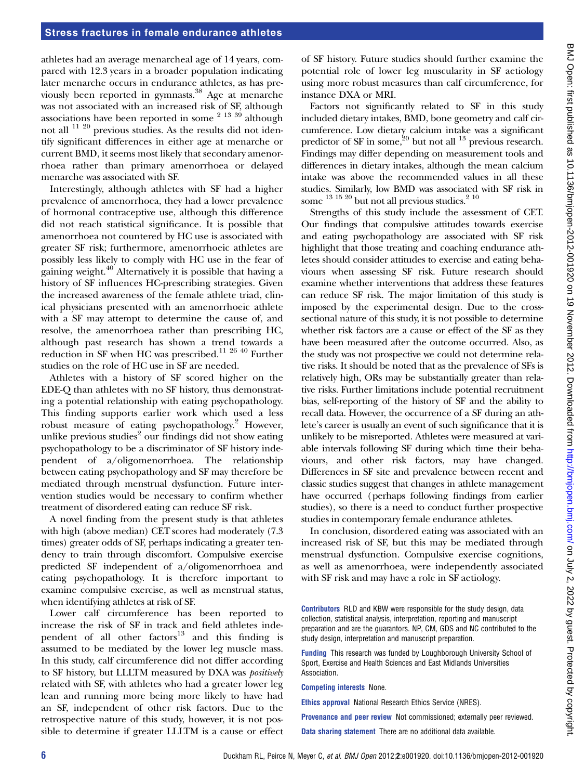athletes had an average menarcheal age of 14 years, compared with 12.3 years in a broader population indicating later menarche occurs in endurance athletes, as has previously been reported in gymnasts.<sup>38</sup> Age at menarche was not associated with an increased risk of SF, although associations have been reported in some  $2^{13}$  39 although not all 11 20 previous studies. As the results did not identify significant differences in either age at menarche or current BMD, it seems most likely that secondary amenorrhoea rather than primary amenorrhoea or delayed menarche was associated with SF.

Interestingly, although athletes with SF had a higher prevalence of amenorrhoea, they had a lower prevalence of hormonal contraceptive use, although this difference did not reach statistical significance. It is possible that amenorrhoea not countered by HC use is associated with greater SF risk; furthermore, amenorrhoeic athletes are possibly less likely to comply with HC use in the fear of gaining weight.<sup>40</sup> Alternatively it is possible that having a history of SF influences HC-prescribing strategies. Given the increased awareness of the female athlete triad, clinical physicians presented with an amenorrhoeic athlete with a SF may attempt to determine the cause of, and resolve, the amenorrhoea rather than prescribing HC, although past research has shown a trend towards a reduction in SF when HC was prescribed.<sup>11 26 40</sup> Further studies on the role of HC use in SF are needed.

Athletes with a history of SF scored higher on the EDE-Q than athletes with no SF history, thus demonstrating a potential relationship with eating psychopathology. This finding supports earlier work which used a less robust measure of eating psychopathology.<sup>2</sup> However, unlike previous studies<sup>2</sup> our findings did not show eating psychopathology to be a discriminator of SF history independent of a/oligomenorrhoea. The relationship between eating psychopathology and SF may therefore be mediated through menstrual dysfunction. Future intervention studies would be necessary to confirm whether treatment of disordered eating can reduce SF risk.

A novel finding from the present study is that athletes with high (above median) CET scores had moderately (7.3 times) greater odds of SF, perhaps indicating a greater tendency to train through discomfort. Compulsive exercise predicted SF independent of a/oligomenorrhoea and eating psychopathology. It is therefore important to examine compulsive exercise, as well as menstrual status, when identifying athletes at risk of SF.

Lower calf circumference has been reported to increase the risk of SF in track and field athletes independent of all other factors $13$  and this finding is assumed to be mediated by the lower leg muscle mass. In this study, calf circumference did not differ according to SF history, but LLLTM measured by DXA was positively related with SF, with athletes who had a greater lower leg lean and running more being more likely to have had an SF, independent of other risk factors. Due to the retrospective nature of this study, however, it is not possible to determine if greater LLLTM is a cause or effect

of SF history. Future studies should further examine the potential role of lower leg muscularity in SF aetiology using more robust measures than calf circumference, for instance DXA or MRI.

Factors not significantly related to SF in this study included dietary intakes, BMD, bone geometry and calf circumference. Low dietary calcium intake was a significant predictor of SF in some, $20$  but not all  $13$  previous research. Findings may differ depending on measurement tools and differences in dietary intakes, although the mean calcium intake was above the recommended values in all these studies. Similarly, low BMD was associated with SF risk in some  $^{13}$  15  $^{20}$  but not all previous studies.<sup>2 10</sup>

Strengths of this study include the assessment of CET. Our findings that compulsive attitudes towards exercise and eating psychopathology are associated with SF risk highlight that those treating and coaching endurance athletes should consider attitudes to exercise and eating behaviours when assessing SF risk. Future research should examine whether interventions that address these features can reduce SF risk. The major limitation of this study is imposed by the experimental design. Due to the crosssectional nature of this study, it is not possible to determine whether risk factors are a cause or effect of the SF as they have been measured after the outcome occurred. Also, as the study was not prospective we could not determine relative risks. It should be noted that as the prevalence of SFs is relatively high, ORs may be substantially greater than relative risks. Further limitations include potential recruitment bias, self-reporting of the history of SF and the ability to recall data. However, the occurrence of a SF during an athlete's career is usually an event of such significance that it is unlikely to be misreported. Athletes were measured at variable intervals following SF during which time their behaviours, and other risk factors, may have changed. Differences in SF site and prevalence between recent and classic studies suggest that changes in athlete management have occurred (perhaps following findings from earlier studies), so there is a need to conduct further prospective studies in contemporary female endurance athletes.

In conclusion, disordered eating was associated with an increased risk of SF, but this may be mediated through menstrual dysfunction. Compulsive exercise cognitions, as well as amenorrhoea, were independently associated with SF risk and may have a role in SF aetiology.

Contributors RLD and KBW were responsible for the study design, data collection, statistical analysis, interpretation, reporting and manuscript preparation and are the guarantors. NP, CM, GDS and NC contributed to the study design, interpretation and manuscript preparation.

Funding This research was funded by Loughborough University School of Sport, Exercise and Health Sciences and East Midlands Universities Association.

Competing interests None.

Ethics approval National Research Ethics Service (NRES).

Provenance and peer review Not commissioned; externally peer reviewed.

Data sharing statement There are no additional data available.